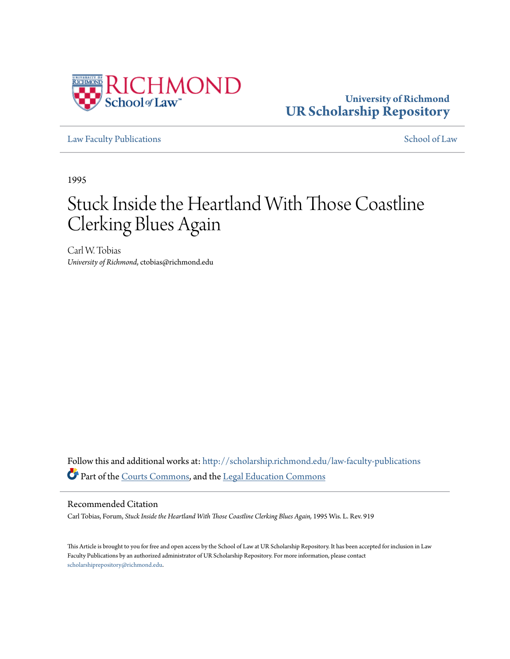

# **University of Richmond [UR Scholarship Repository](http://scholarship.richmond.edu?utm_source=scholarship.richmond.edu%2Flaw-faculty-publications%2F597&utm_medium=PDF&utm_campaign=PDFCoverPages)**

[Law Faculty Publications](http://scholarship.richmond.edu/law-faculty-publications?utm_source=scholarship.richmond.edu%2Flaw-faculty-publications%2F597&utm_medium=PDF&utm_campaign=PDFCoverPages) [School of Law](http://scholarship.richmond.edu/law?utm_source=scholarship.richmond.edu%2Flaw-faculty-publications%2F597&utm_medium=PDF&utm_campaign=PDFCoverPages)

1995

# Stuck Inside the Heartland With Those Coastline Clerking Blues Again

Carl W. Tobias *University of Richmond*, ctobias@richmond.edu

Follow this and additional works at: [http://scholarship.richmond.edu/law-faculty-publications](http://scholarship.richmond.edu/law-faculty-publications?utm_source=scholarship.richmond.edu%2Flaw-faculty-publications%2F597&utm_medium=PDF&utm_campaign=PDFCoverPages) Part of the [Courts Commons](http://network.bepress.com/hgg/discipline/839?utm_source=scholarship.richmond.edu%2Flaw-faculty-publications%2F597&utm_medium=PDF&utm_campaign=PDFCoverPages), and the [Legal Education Commons](http://network.bepress.com/hgg/discipline/857?utm_source=scholarship.richmond.edu%2Flaw-faculty-publications%2F597&utm_medium=PDF&utm_campaign=PDFCoverPages)

#### Recommended Citation

Carl Tobias, Forum, *Stuck Inside the Heartland With Those Coastline Clerking Blues Again,* 1995 Wis. L. Rev. 919

This Article is brought to you for free and open access by the School of Law at UR Scholarship Repository. It has been accepted for inclusion in Law Faculty Publications by an authorized administrator of UR Scholarship Repository. For more information, please contact [scholarshiprepository@richmond.edu.](mailto:scholarshiprepository@richmond.edu)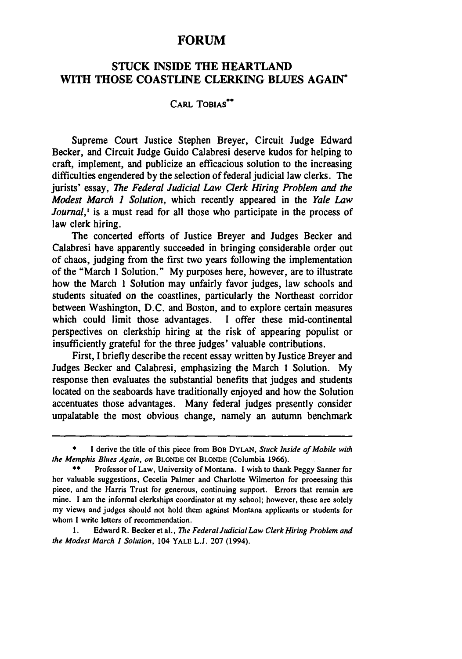### FORUM

## STUCK INSIDE THE HEARTLAND WITH THOSE COASTLINE CLERKING BLUES AGAIN<sup>\*</sup>

#### CARL TOBIAS<sup>\*\*</sup>

Supreme Court Justice Stephen Breyer, Circuit Judge Edward Becker, and Circuit Judge Guido Calabresi deserve kudos for helping to craft, implement, and publicize an efficacious solution to the increasing difficulties engendered by the selection of federal judicial law clerks. The jurists' essay, *The Federal Judicial Law Qerk Hiring Problem and the Modest March 1 Solution,* which recently appeared in the *Yale Law Journal*,<sup>1</sup> is a must read for all those who participate in the process of law clerk hiring.

The concerted efforts of Justice Breyer and Judges Becker and Calabresi have apparently succeeded in bringing considerable order out of chaos, judging from the first two years following the implementation of the "March 1 Solution." My purposes here, however, are to illustrate how the March 1 Solution may unfairly favor judges, law schools and students situated on the coastlines, particularly the Northeast corridor between Washington, D.C. and Boston, and to explore certain measures which could limit those advantages. I offer these mid-continental perspectives on clerkship hiring at the risk of appearing populist or insufficiently grateful for the three judges' valuable contributions.

First, I briefly describe the recent essay written by Justice Breyer and Judges Becker and Calabresi, emphasizing the March 1 Solution. My response then evaluates the substantial benefits that judges and students located on the seaboards have traditionally enjoyed and how the Solution accentuates those advantages. Many federal judges presently consider unpalatable the most obvious change, namely an autumn benchmark

<sup>\*</sup> I derive the title of this piece from Boe DYLAN, *Stuck Inside of Mobile with the Memphis Blues Again, on* BLONDE ON BLONDE (Columbia 1966).

<sup>\*&</sup>quot;" Professor of Law, University of Montana. I wish to thank Peggy Sanner for her valuable suggestions, Cecelia Palmer and Charlotte Wilmerton for proeessing this piece, and the Harris Trust for generous, continuing support. Errors that remain are mine. I am the infonnal clerkships coordinator at my school; however, these are solely my views and judges should not hold them against Montana applicants or students for whom I write letters of recommendation.

<sup>1.</sup> Edward R. Beckeret al., *The Federal Judicial Law Clerk Hiring Problem and the Modest March I Solmion,* 104 YALE L.J. 207 (1994).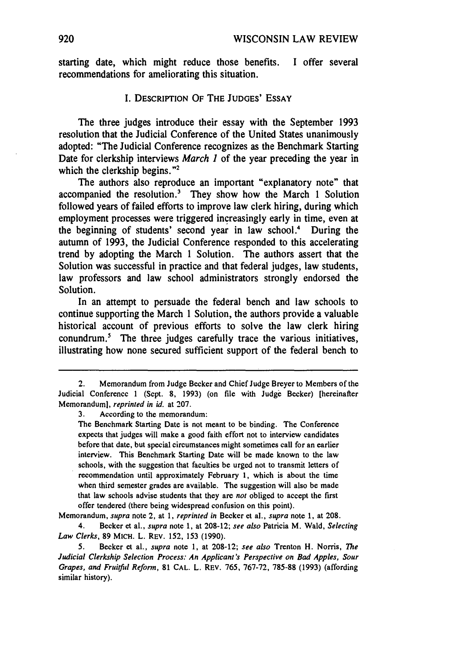starting date, which might reduce those benefits. I offer several recommendations for ameliorating this situation.

#### I. DESCRIPTION OF THE JUDGES' ESSAY

The three judges introduce their essay with the September 1993 resolution that the Judicial Conference of the United States unanimously adopted: "The Judicial Conference recognizes as the Benchmark Starting Date for clerkship interviews *March 1* of the year preceding the year in which the clerkship begins."<sup>2</sup>

The authors also reproduce an important "explanatory note" that accompanied the resolution.<sup>3</sup> They show how the March 1 Solution followed years of failed efforts to improve law clerk hiring, during which employment processes were triggered increasingly early in time, even at the beginning of students' second year in law school.4 During the autumn of 1993, the Judicial Conference responded to this accelerating trend by adopting the March 1 Solution. The authors assert that the Solution was successful in practice and that federal judges, law students, law professors and law school administrators strongly endorsed the Solution.

In an attempt to persuade the federal bench and law schools to continue supporting the March 1 Solution, the authors provide a valuable historical account of previous efforts to solve the law clerk hiring conundrum.<sup>5</sup> The three judges carefully trace the various initiatives, illustrating how none secured sufficient support of the federal bench to

3. According to the memorandum:

The Benchmark Starting Date is not meant to be binding. The Conference expects that judges will make a good faith effort not to interview candidates before that date, but special circumstances might sometimes call for an earlier interview. This Benchmark Starting Date will be made known to the law schools, with the suggestion that faculties be urged not to transmit letters of recommendation until approximately February I, which is about the time when third semester grades are available. The suggestion will also be made that Jaw schools advise students that they are *not* obliged to accept the first offer tendered (there being widespread confusion on this point).

Memorandum, *supra* note 2, at 1, *reprinted in* Becker et al., *supra* note 1, at 208.

4. Becker et al., *s11pra* note 1, at 208-12; *see also* Patricia M. Wald, *Selecting Law Clerks,* 89 MICH. L. REV. 152, 153 (1990).

*5.* Becker et al., *s11pra* note 1, at 208-12; *see also* Trenton H. Norris, *The Judicial Clerkship Selection Process: An Applicant's Perspective on Bad Apples, Sour Grapes, and Fr11itf11l Refonn,* 81 CAL. L. REV. 765, 767-72, 785-88 (1993) (affording similar history).

<sup>2.</sup> Memorandum from Judge Becker and Chief Judge Breyer to Members of the Judicial Conference 1 (Sept. 8, 1993) (on file with Judge Becker) [hereinafter Memoranduml. *reprinted* in id. at 207.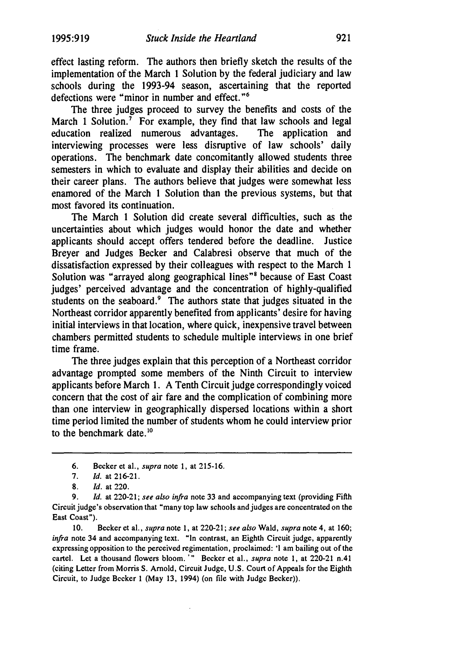effect lasting reform. The authors then briefly sketch the results of the implementation of the March **1** Solution by the federal judiciary and law schools during the 1993-94 season, ascertaining that the reported defections were "minor in number and effect. "6

The three judges proceed to survey the benefits and costs of the March 1 Solution.<sup>7</sup> For example, they find that law schools and legal education realized numerous advantages. The application and interviewing processes were less disruptive of law schools' daily operations. The benchmark date concomitantly allowed students three semesters in which to evaluate and display their abilities and decide on their career plans. The authors believe that judges were somewhat less enamored of the March **1** Solution than the previous systems, but that most favored its continuation.

The March **1** Solution did create several difficulties, such as the uncertainties about which judges would honor the date and whether applicants should accept offers tendered before the deadline. Justice Breyer and Judges Becker and Calabresi observe that much of the dissatisfaction expressed by their colleagues with respect to the March 1 Solution was "arrayed along geographical lines"<sup>8</sup> because of East Coast judges' perceived advantage and the concentration of highly-qualified students on the seaboard.<sup>9</sup> The authors state that judges situated in the Northeast corridor apparently benefited from applicants' desire for having initial interviews in that location, where quick, inexpensive travel between chambers permitted students to schedule multiple interviews in one brief time frame.

The three judges explain that this perception of a Northeast corridor advantage prompted some members of the Ninth Circuit to interview applicants before March **1.** A Tenth Circuit judge correspondingly voiced concern that the cost of air fare and the complication of combining more than one interview in geographically dispersed locations within a short time period limited the number of students whom he could interview prior to the benchmark date.<sup>10</sup>

10. Becker et al., *supra* note l, at 220-21; *see also* Wald, *supra* note 4, at 160; *infra* note 34 and accompanying text. "In contrast, an Eighth Circuit judge, apparently expressing opposition to the perceived regimentation, proclaimed: 'I am bailing out of the cartel. Let a thousand flowers bloom. '" Becker et al., *supra* note 1, at 220-21 n.41 (citing Letter from Morris S. Arnold, Circuit Judge, U.S. Court of Appeals for the Eighth Circuit, to Judge Becker 1 (May 13, 1994) (on file with Judge Becker)).

<sup>6.</sup> Becker et al., *supra* note 1, at 215-16.

<sup>7.</sup> *Id.* at 216-21.

<sup>8.</sup> *Id.* at 220.

<sup>9.</sup> *Id.* at 220-21; *see also infra* note 33 and accompanying text (providing Fifth Circuit judge's observation that "many top law schools and judges are concentrated on the East Coast").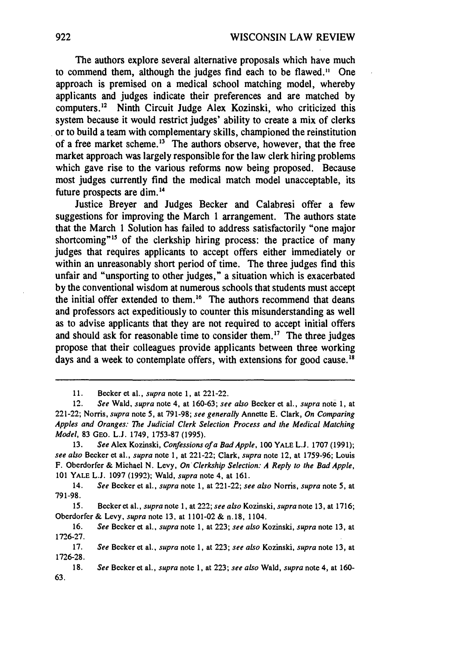The authors explore several alternative proposals which have much to commend them, although the judges find each to be flawed. $11$  One approach is premised on a medical school matching model, whereby applicants and judges indicate their preferences and are matched by computers.<sup>12</sup> Ninth Circuit Judge Alex Kozinski, who criticized this system because it would restrict judges' ability to create a mix of clerks . or to build a team with complementary skills, championed the reinstitution of a free market scheme.<sup>13</sup> The authors observe, however, that the free market approach was largely responsible for the law clerk hiring problems which gave rise to the various reforms now being proposed. Because most judges currently find the medical match model unacceptable, its future prospects are dim. 14

Justice Breyer and Judges Becker and Calabresi offer a few suggestions for improving the March 1 arrangement. The authors state that the March 1 Solution has failed to address satisfactorily "one major shortcoming<sup>"15</sup> of the clerkship hiring process: the practice of many judges that requires applicants to accept offers either immediately or within an unreasonably short period of time. The three judges find this unfair and "unsporting to other judges," a situation which is exacerbated by the conventional wisdom at numerous schools that students must accept the initial offer extended to them.<sup>16</sup> The authors recommend that deans and professors act expeditiously to counter this misunderstanding as well as to advise applicants that they are not required to accept initial offers and should ask for reasonable time to consider them.<sup>17</sup> The three judges propose that their colleagues provide applicants between three working days and a week to contemplate offers, with extensions for good cause.<sup>18</sup>

<sup>11.</sup> Becker et al., *supra* note l, at 221-22.

<sup>12.</sup> *See* Wald, *supra* note 4, at 160-63; *see also* Becker et al., *supra* note l, at 221-22; Norris, *supra* note *5,* at 791-98; *see generally* Annette E. Clark, *On Comparing Apples and Oranges: The Judicial Clerk Selection Process and the Medical Matching Model,* 83 GEO. L.J. 1749, 1753-87 (1995).

<sup>13.</sup> *See* Alex Kozinski, *Confessions of a Bad Apple,* 100 YALE L.J. 1707 (1991); *see also* Becker et al., *supra* note 1, at 221-22; Clark, *supra* note 12, at 1759-96; Louis F. Oberdorfer & Michael N. Levy, *On· Clerkship Selection: A Reply to the Bad Apple,*  101 YALE L.J. 1097 (1992); Wald, *supra* note 4, at 161.

<sup>14.</sup> *See* Becker et al., *supra* note l, at 221-22; *see also* Norris, *supra* note *5,* at 791-98.

<sup>15.</sup> Beckeret al., *supra* note 1, at 222; *see also* Kozinski, *supra* note 13, at 1716; Oberdorfer & Levy, *supra* note 13, at 1101-02 & n.18, 1104.

<sup>16.</sup> *See* Becker et al., *supra* note 1, at 223; *see also* Kozinski, *supra* note 13, at 1726-27.

<sup>17.</sup> *See* Becker et al., *supra* note l, at 223; *see also* Kozinski, *supra* note 13, at 1726-28.

<sup>18.</sup> *See* Becker et al., *supra* note 1, at 223; *see also* Wald, *supra* note 4, at 160- 63.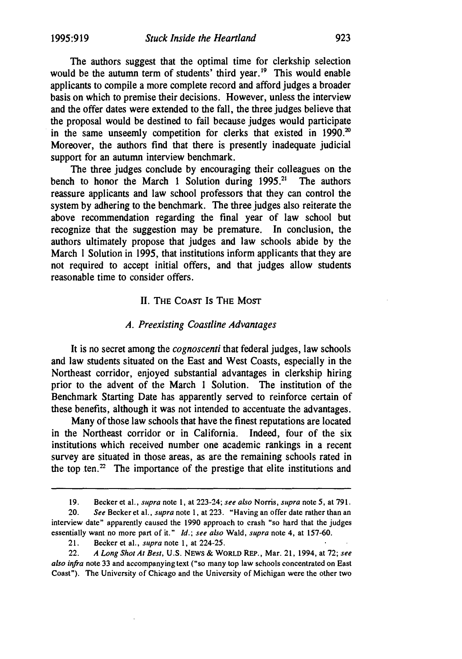The authors suggest that the optimal time for clerkship selection would be the autumn term of students' third year.<sup>19</sup> This would enable applicants to compile a more complete record and afford judges a broader basis on which to premise their decisions. However, unless the interview and the offer dates were extended to the fall, the three judges believe that the proposal would be destined to fail because judges would participate in the same unseemly competition for clerks that existed in 1990. $20$ Moreover, the authors find that there is presently inadequate judicial support for an autumn interview benchmark.

The three judges conclude by encouraging their colleagues on the bench to honor the March 1 Solution during  $1995.<sup>21</sup>$  The authors reassure applicants and law school professors that they can control the system by adhering to the benchmark. The three judges also reiterate the above recommendation regarding the final year of law school but recognize that the suggestion may be premature. In conclusion, the authors ultimately propose that judges and law schools abide by the March l Solution in 1995, that institutions inform applicants that they are not required to accept initial offers, and that judges allow students reasonable time to consider offers.

#### II. THE CoAST Is THE MoST

#### *A. Preexisting Coastline Advantages*

It is no secret among the *cognoscenti* that federal judges, law schools and law students situated on the East and West Coasts, especially in the Northeast corridor, enjoyed substantial advantages in clerkship hiring prior to the advent of the March 1 Solution. The institution of the Benchmark Starting Date has apparently served to reinforce certain of these benefits, although it was not intended to accentuate the advantages.

Many of those law schools that have the finest reputations are located in the Northeast corridor or in California. Indeed, four of the six institutions which received number one academic rankings in a recent survey are situated in those areas, as are the remaining schools rated in the top ten.<sup>22</sup> The importance of the prestige that elite institutions and

<sup>19.</sup> Becker et al., *supra* note 1, at 223-24; *see also* Norris, *supra* note 5, at 791.

<sup>20.</sup> *See* Becker et al., *supra* note 1, at 223. "Having an offer date rather than an interview date" apparently caused the 1990 approach to crash "so hard that the judges essentially want no more part of it." *Id.; see also* Wald, *supra* note 4, at 157-60.

<sup>21.</sup> Becker et al., *supra* note l, at 224-25.

<sup>22.</sup> *A Long Shot Al Best,* U.S. NEWS & WORLD REP., Mar. 21, 1994, at 72; *see also infra* note 33 and accompanying text ("so many top law schools concentrated on East Coast"). The University of Chicago and the University of Michigan were the other two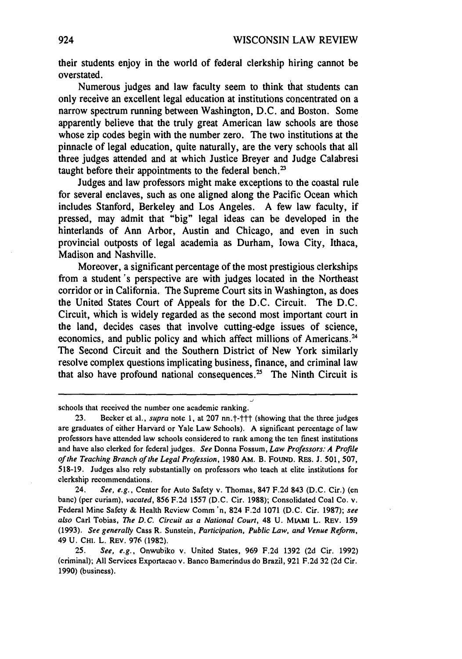their students enjoy in the world of federal clerkship hiring cannot be overstated.

Numerous judges and law faculty seem to think that students can only receive an excellent legal education at institutions concentrated on a narrow spectrum running between Washington, D.C. and Boston. Some apparently believe that the truly great American law schools are those whose zip codes begin with the number zero. The two institutions at the pinnacle of legal education, quite naturally, are the very schools that all three judges attended and at which Justice Breyer and Judge Calabresi taught before their appointments to the federal bench.<sup>23</sup>

Judges and law professors might make exceptions to the coastal rule for several enclaves, such as one aligned along the Pacific Ocean which includes Stanford, Berkeley and Los Angeles. A few law faculty, if pressed, may admit that "big" legal ideas can be developed in the hinterlands of Ann Arbor, Austin and Chicago, and even in such provincial outposts of legal academia as Durham, Iowa City, Ithaca, Madison and Nashville.

Moreover, a significant percentage of the most prestigious clerkships from a student 's perspective are with judges located in the Northeast corridor or in California. The Supreme Court sits in Washington, as does the United States Court of Appeals for the D.C. Circuit. The D.C. Circuit, which is widely regarded as the second most important court in the land, decides cases that involve cutting-edge issues of science, economics, and public policy and which affect millions of Americans.<sup>24</sup> The Second Circuit and the Southern District of New York similarly resolve complex questions implicating business, finance, and criminal law that also have profound national consequences.<sup>25</sup> The Ninth Circuit is

schools that received the number one academic ranking.

24. *See, e.g.,* Center for Auto Safety v. Thomas, 847 F.2d 843 (D.C. Cir.) (en bane) (per curiam), *vacated,* 856 F.2d 1557 (D.C. Cir. 1988); Consolidated Coal Co. v. Federal Mine Safety & Health Review Comm 'n, 824 F.2d 1071 (D.C. Cir. 1987); *see also* Carl Tobias, *The D.C. Circuit as a National Court,* 48 U. MIAMI L. REV. 159 (1993). *See generally* Cass R. Sunstein, *Participation, Public Law, and Venue Reform,*  49 U. CHI. L. REV. 976 (1982).

25. *See, e.g.,* Onwubiko v. United States, 969 F.2d 1392 (2d Cir. 1992) (criminal); All Services Exportacao v. Banco Bamerindus do Brazil, 921 F.2d 32 (2d Cir. 1990) (business).

<sup>23.</sup> Becker et al., *supra* note 1, at 207 nn.  $\dagger$ - $\dagger$ <sup>+</sup> (showing that the three judges are graduates of either Harvard or Yale Law Schools). A significant percentage of Jaw professors have attended law schools considered to rank among the ten finest institutions and have also clerked for federal judges. *See* Donna Fossum, *Law Professors: A Profile of the Teaching Branch of the Legal Profession,* 1980 AM. B. FOUND. RES. J. 501, 507, 518-19. Judges also rely substantially on professors who teach at elite institutions for clerkship recommendations.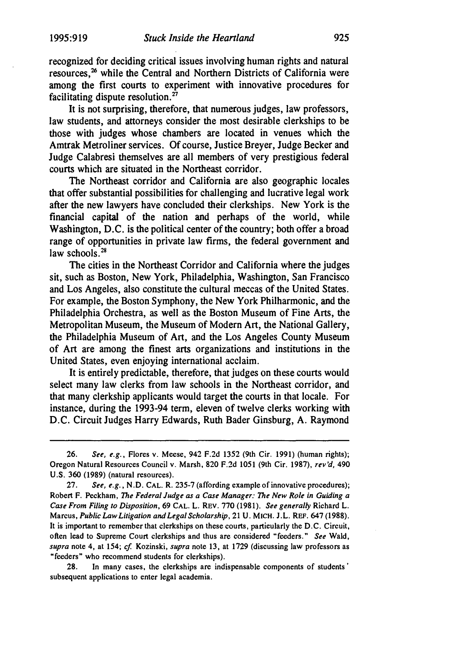recognized for deciding critical issues involving human rights and natural resources,<sup>26</sup> while the Central and Northern Districts of California were among the first courts to experiment with innovative procedures for facilitating dispute resolution. <sup>27</sup>

It is not surprising, therefore, that numerous judges, law professors, law students, and attorneys consider the most desirable clerkships to be those with judges whose chambers are located in venues which the Amtrak Metroliner services. Of course, Justice Breyer, Judge Becker and Judge Calabresi themselves are all members of very prestigious federal courts which are situated in the Northeast corridor.

The Northeast corridor and California are also geographic locales that offer substantial possibilities for challenging and lucrative legal work after the new lawyers have concluded their clerkships. New York is the financial capital of the nation and perhaps of the world, while Washington, D.C. is the political center of the country; both offer a broad range of opportunities in private law firms, the federal government and law schools.<sup>28</sup>

The cities in the Northeast Corridor and California where the judges sit, such as Boston, New York, Philadelphia, Washington, San Francisco and Los Angeles, also constitute the cultural meccas of the United States. For example, the Boston Symphony, the New York Philharmonic, and the Philadelphia Orchestra, as well as the Boston Museum of Fine Arts, the Metropolitan Museum, the Museum of Modern Art, the National Gallery, the Philadelphia Museum of Art, and the Los Angeles County Museum of Art are among the finest arts organizations and institutions in the United States, even enjoying international acclaim.

It is entirely predictable, therefore, that judges on these courts would select many law clerks from law schools in the Northeast corridor, and that many clerkship applicants would target the courts in that locale. For instance, during the 1993-94 term, eleven of twelve clerks working with D.C. Circuit Judges Harry Edwards, Ruth Bader Ginsburg, A. Raymond

28. In many cases, the clerkships are indispensable components of students ' subsequent applications to enter legal academia.

<sup>26.</sup> *See, e.g.,* Flores v. Meese, 942 F.2d 1352 (9th Cir. 1991) (human rights); Oregon Natural Resources Council v. Marsh, 820 F.2d 1051 (9th Cir. 1987), *rev'd,* 490 U.S. 360 (1989) (natural resources).

<sup>27.</sup> *See, e.g.,* N .D. CAL. R. 235-7 (affording example of innovative procedures); Robert F. Peckham, *The Federal Judge as a Case Manager: The New Role in Guiding a Case From Filing to Disposition,* 69 CAL. L. REV. 770 (1981). *See generally* Richard L. Marcus, *Public Law Litigation and Legal Scholarship,* 21 U. MICH. J.L. REF. 647 (1988). It is important to remember that clerkships on these courts, partieularly the D.C. Circuit, often lead to Supreme Court clerkships and thus are considered "feeders." *See* Wald, *supra* note 4, at 154; *cf* Kozinski, *supra* note 13, at 1729 (discussing law professors as "feeders" who recommend students for clerkships).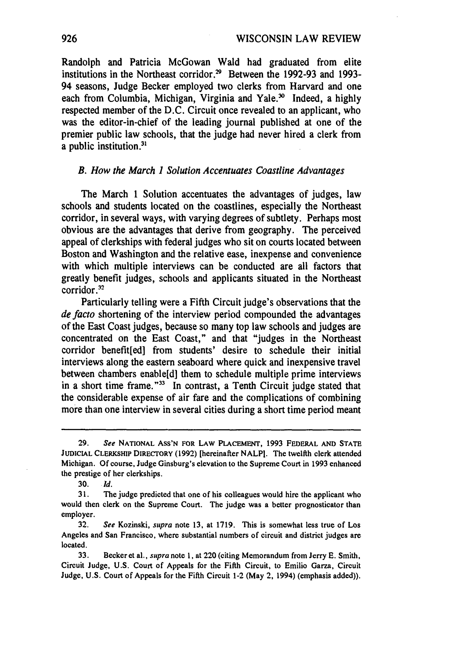Randolph and Patricia McGowan Waid had graduated from elite institutions in the Northeast corridor.<sup>29</sup> Between the 1992-93 and 1993-94 seasons, Judge Becker employed two clerks from Harvard and one each from Columbia, Michigan, Virginia and Yale.<sup>30</sup> Indeed, a highly respected member of the D.C. Circuit once revealed to an applicant, who was the editor-in-chief of the leading journal published at one of the premier public law schools, that the judge had never hired a clerk from a public institution.<sup>31</sup>

#### *B. How the March 1 Solution Accentuates Coastline Advantages*

The March 1 Solution accentuates the advantages of judges, law schools and students located on the coastlines, especially the Northeast corridor, in several ways, with varying degrees of subtlety. Perhaps most obvious are the advantages that derive from geography. The perceived appeal of clerkships with federal judges who sit on courts located between Boston and Washington and the relative ease, inexpense and convenience with which multiple interviews can be conducted are all factors that greatly benefit judges, schools and applicants situated in the Northeast corridor.<sup>32</sup>

Particularly telling were a Fifth Circuit judge's observations that the *de facto* shortening of the interview period compounded the advantages of the East Coast judges, because so many top law schools and judges are concentrated on the East Coast," and that "judges in the Northeast corridor benefit[ed] from students' desire to schedule their initial interviews along the eastern seaboard where quick and inexpensive travel between chambers enable[d] them to schedule multiple prime interviews in a short time frame."<sup>33</sup> In contrast, a Tenth Circuit judge stated that the considerable expense of air fare and the complications of combining more than one interview in several cities during a short time period meant

<sup>29.</sup> *See* NATIONAL ASS'N FOR LAW PLACEMENT, 1993 FEDERAL AND STATE JUDICIAL CLERKSHIP DIRECTORY (1992) [hereinafter NALPl. The twelfth clerk attended Michigan. Of course, Judge Ginsburg's elevation to the Supreme Court in 1993 enhanced the prestige of her clerkships.

<sup>30.</sup> *Id.* 

<sup>31.</sup> The judge predicted that one of his colleagues would hire the applicant who would then clerk on the Supreme Court. The judge was a better prognosticator than employer.

<sup>32.</sup> *See* Kozinski, *supra* note 13, at 1719. This is somewhat less true of Los Angeles and San Francisco, where substantial numbers of circuit and district judges are located.

<sup>33.</sup> Becker et al., *supra* note l, at 220 (citing Memorandum from Jerry E. Smith, Circuit Judge, U.S. Court of Appeals for the Fifth Circuit, to Emilio Garza, Circuit Judge, U.S. Court of Appeals for the Fifth Circuit 1-2 (May 2, 1994) (emphasis added)).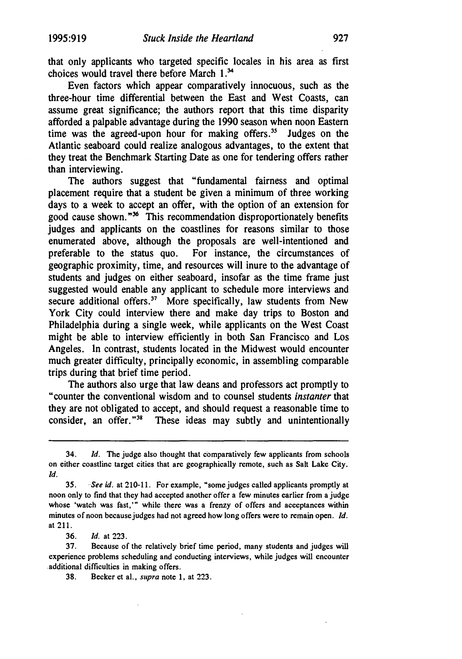that only applicants who targeted specific locales in his area as first choices would travel there before March  $1.^{34}$ 

Even factors which appear comparatively innocuous, such as the three-hour time differential between the East and West Coasts, can assume great significance; the authors report that this time disparity afforded a palpable advantage during the 1990 season when noon Eastern time was the agreed-upon hour for making offers.<sup>35</sup> Judges on the Atlantic seaboard could realize analogous advantages, to the extent that they treat the Benchmark Starting Date as one for tendering offers rather than interviewing.

The authors suggest that "fundamental fairness and optimal placement require that a student be given a minimum of three working days to a week to accept an offer, with the option of an extension for good cause shown."<sup>36</sup> This recommendation disproportionately benefits judges and applicants on the coastlines for reasons similar to those enumerated above, although the proposals are well-intentioned and preferable to the status quo. For instance, the circumstances of geographic proximity, time, and resources will inure to the advantage of students and judges on either seaboard, insofar as the time frame just suggested would enable any applicant to schedule more interviews and secure additional offers.<sup>37</sup> More specifically, law students from New York City could interview there and make day trips to Boston and Philadelphia during a single week, while applicants on the West Coast might be able to interview efficiently in both San Francisco and Los Angeles. ln contrast, students located in the Midwest would encounter much greater difficulty, principally economic, in assembling comparable trips during that brief time period.

The authors also urge that law deans and professors act promptly to "counter the conventional wisdom and to counsel students *instanter* that they are not obligated to accept, and should request a reasonable time to consider, an offer."<sup>38</sup> These ideas may subtly and unintentionally

36. *Id.* at 223.

38. Becker et al., *supra* note l, at 223.

<sup>34.</sup> *Id.* The judge also thought that comparatively few applicants from schools on either coastline target cities that are geographically remote, such as Salt Lake City. *Id.* 

<sup>35.</sup> See id. at 210-11. For example, "some judges called applicants promptly at noon only to find that they had accepted another offer a few minutes earlier from a judge whose 'watch was fast,'" while there was a frenzy of offers and aceeptances within minutes of noon because judges had not agreed how long offers were to remain open. *Id.*  at 211.

<sup>37.</sup> Because of the relatively brief time period, many students and judges will experience problems scheduling and conducting interviews, while judges will encounter additional difficulties in making offers.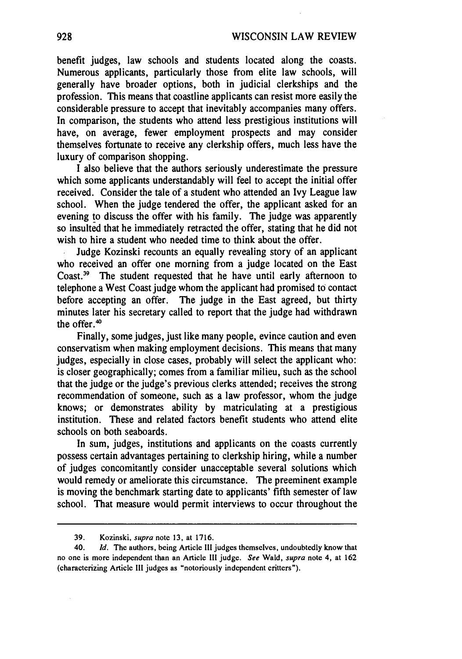benefit judges, law schools and students located along the coasts. Numerous applicants, particularly those from elite law schools, will generally have broader options, both in judicial clerkships and the profession. This means that coastline applicants can resist more easily the considerable pressure to accept that inevitably accompanies many offers. In comparison, the students who attend less prestigious institutions will have, on average, fewer employment prospects and may consider themselves fortunate to receive any clerkship offers, much less have the luxury of comparison shopping.

I also believe that the authors seriously underestimate the pressure which some applicants understandably will feel to accept the initial offer received. Consider the tale of a student who attended an Ivy League law school. When the judge tendered the offer, the applicant asked for an evening to discuss the offer with his family. The judge was apparently so insulted that he immediately retracted the offer, stating that he did not wish to hire a student who needed time to think about the offer.

Judge Kozinski recounts an equally revealing story of an applicant who received an offer one morning from a judge located on the East Coast.<sup>39</sup> The student requested that he have until early afternoon to telephone a West Coast judge whom the applicant had promised to contact before accepting an offer. The judge in the East agreed, but thirty minutes later his secretary called to report that the judge had withdrawn the offer.<sup>40</sup>

Finally, some judges, just like many people, evince caution and even conservatism when making employment decisions. This means that many judges, especially in close cases, probably will select the applicant who: is closer geographically; comes from a familiar milieu, such as the school that the judge or the judge's previous clerks attended; receives the strong recommendation of someone, such as a law professor, whom the judge knows; or demonstrates ability by matriculating at a prestigious institution. These and related factors benefit students who attend elite schools on both seaboards.

In sum, judges, institutions and applicants on the coasts currently possess certain advantages pertaining to clerkship hiring, while a number of judges concomitantly consider unacceptable several solutions which would remedy or ameliorate this circumstance. The preeminent example is moving the benchmark starting date to applicants' fifth semester of law school. That measure would permit interviews to occur throughout the

<sup>39.</sup> Kozinski, *supra* note 13, at 1716.

<sup>40.</sup> *Id.* The authors, being Article Ill judges themselves, undoubtedly know that no one is more independent than an Article Ill judge. *See* Wald, *supra* note 4, at 162 (characterizing Article Ill judges as "notoriously independent critters").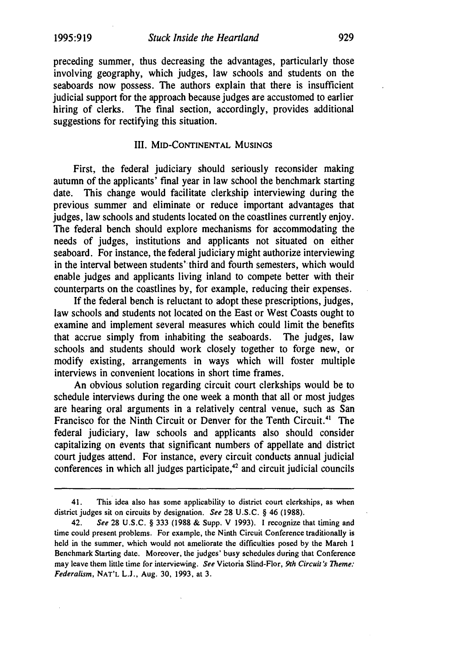preceding summer, thus decreasing the advantages, particularly those involving geography, which judges, law schools and students on the seaboards now possess. The authors explain that there is insufficient judicial support for the approach because judges are accustomed to earlier hiring of clerks. The final section, accordingly, provides additional suggestions for rectifying this situation.

#### III. MID-CONTINENTAL MUSINGS

First, the federal judiciary should seriously reconsider making autumn of the applicants' final year in law school the benchmark starting date. This change would facilitate clerkship interviewing during the previous summer and eliminate or reduce important advantages that judges, law schools and students located on the coastlines currently enjoy. The federal bench should explore mechanisms for accommodating the needs of judges, institutions and applicants not situated on either seaboard. For instance, the federal judiciary might authorize interviewing in the interval between students' third and fourth semesters, which would enable judges and applicants living inland to compete better with their counterparts on the coastlines by, for example, reducing their expenses.

If the federal bench is reluctant to adopt these prescriptions, judges, law schools and students not located on the East or West Coasts ought to examine and implement several measures which could limit the benefits that accrue simply from inhabiting the seaboards. The judges, law schools and students should work closely together to forge new, or modify existing, arrangements in ways which will foster multiple interviews in convenient locations in short time frames.

An obvious solution regarding circuit court clerkships would be to schedule interviews during the one week a month that all or most judges are hearing oral arguments in a relatively central venue, such as San Francisco for the Ninth Circuit or Denver for the Tenth Circuit. 41 The federal judiciary, law schools and applicants also should consider capitalizing on events that significant numbers of appellate and district court judges attend. For instance, every circuit conducts annual judicial conferences in which all judges participate, $42$  and circuit judicial councils

<sup>41.</sup> This idea also has some applicability to district court clerkships, as when district judges sit on circuits by designation. *See* 28 U.S.C. § 46 (1988).

<sup>42.</sup> *See* 28 U.S.C. § 333 (1988 & Supp. V 1993). I recognize that timing and time could present problems. For example, the Ninth Circuit Conference traditionally is held in the summer, which would not ameliorate the difficulties posed by the Mareh 1 Benchmark Starting date. Moreover, the judges' busy schedules during that Conference may leave them little time for interviewing. *See* Victoria Slind-Flor, *9th Circuit's Theme: Federalism,* NAT'L L.J., Aug. 30, 1993, at 3.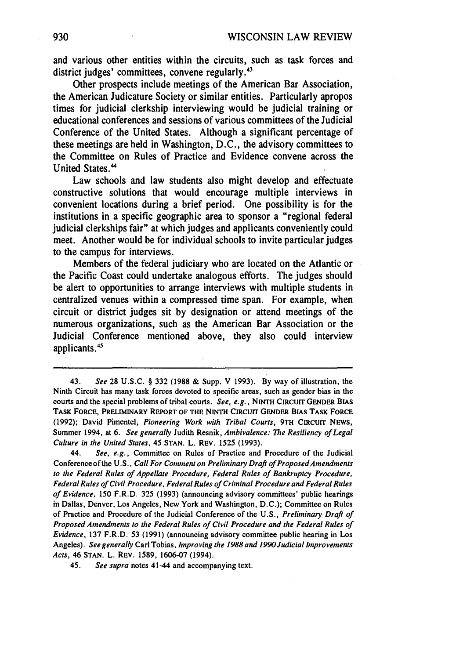and various other entities within the circuits, such as task forces and district judges' committees, convene regularly.<sup>43</sup>

Other prospects include meetings of the American Bar Association, the American Judicature Society or similar entities. Particularly apropos times for judicial clerkship interviewing would be judicial training or educational conferences and sessions of various committees of the Judicial Conference of the United States. Although a significant percentage of these meetings are held in Washington, D.C., the advisory committees to the Committee on Rules of Practice and Evidence convene across the United States. 44

Law schools and law students also might develop and effectuate constructive solutions that would encourage multiple interviews in convenient locations during a brief period. One possibility is for the institutions in a specific geographic area to sponsor a "regional federal judicial clerkships fair" at which judges and applicants conveniently could meet. Another would be for individual schools to invite particular judges to the campus for interviews.

Members of the federal judiciary who are located on the Atlantic or the Pacific Coast could undertake analogous efforts. The judges should be alert to opportunities to arrange interviews with multiple students in centralized venues within a compressed time span. For example, when circuit or district judges sit by designation or attend meetings of the numerous organizations, such as the American Bar Association or the Judicial Conference mentioned above, they also could interview applicants.<sup>45</sup>

<sup>43.</sup> *See* 28 U.S.C. § 332 (1988 & Supp. V 1993). By way of illustration, the Ninth Circuit has many task forces devoted to specific areas, sueh as gender bias in the courts and the special problems of tribal courts. *See, e.g.,* NINTH CIRCUIT GENDER BIAS TASK FORCE, PRELIMINARY REPORT OF THE NINTH CIRCUIT GENDER BIAS TASK FORCE (1992); David Pimentel, *Pioneering Work with Tribal Courts,* 9TH CIRCUIT NEWS, Summer 1994, at 6. *See generally* Judith Resnik, *Ambivalence: The Resiliency of Legal Culture in the United States,* 45 STAN. L. REV. 1525 (1993).

<sup>44.</sup> *See, e.g.,* Committee on Rules of Practice and Procedure of the Judicial Conferenceofthe U.S., *Call For Comment on Preliminary Draft of Proposed Amendments to the Federal Rules of Appellate Procedure, Federal Rules of Bankruptcy Procedure, Federal Rules of Civil Procedure, Federal Rules of Criminal Procedure and Federal Rules of Evidence,* 150 F.R.D. 325 (1993) (announcing advisory committees' public hearings in Dallas, Denver, Los Angeles, New York and Washington, D.C.); Committee on Rules of Practice and Procedure of the Judicial Conference of the U.S., *Preliminary Draft of Proposed Amendments to the Federal Rules of Civil Procedure and the Federal Rules of Evidence,* 137 F.R.D. 53 (1991) (announcing advisory committee public hearing in Los Angeles). *See generally* Carl Tobias, *Improving the 1988 and 1990Judicial Improvements Acts,* 46 STAN. L. REV. 1589, 1606-07 (1994).

<sup>45.</sup> *See supra* notes 41-44 and accompanying text.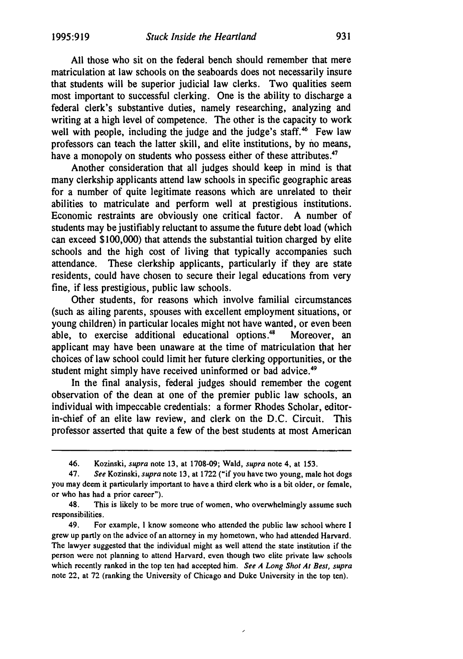All those who sit on the federal bench should remember that mere matriculation at law schools on the seaboards does not necessarily insure that students will be superior judicial law clerks. Two qualities seem most important to successful clerking. One is the ability to discharge a federal clerk's substantive duties, namely researching, analyzing and writing at a high level of competence. The other is the capacity to work well with people, including the judge and the judge's staff.<sup>46</sup> Few law professors can teach the latter skill, and elite institutions, by no means, have a monopoly on students who possess either of these attributes.<sup>47</sup>

Another consideration that all judges should keep in mind is that many clerkship applicants attend law schools in specific geographic areas for a number of quite legitimate reasons which are unrelated to their abilities to matriculate and perform well at prestigious institutions. Economic restraints are obviously one critical factor. A number of students may be justifiably reluctant to assume the future debt load (which can exceed \$100,000) that attends the substantial tuition charged by elite schools and the high cost of living that typically accompanies such attendance. These clerkship applicants, particularly if they are state residents, could have chosen to secure their legal educations from very fine, if less prestigious, public law schools.

Other students, for reasons which involve familial circumstances (such as ailing parents, spouses with excellent employment situations, or young children) in particular locales might not have wanted, or even been able, to exercise additional educational options.<sup>48</sup> Moreover, an applicant may have been unaware at the time of matriculation that her choices of law school could limit her future clerking opportunities, or the student might simply have received uninformed or bad advice.<sup>49</sup>

In the final analysis, federal judges should remember the cogent observation of the dean at one of the premier public law schools, an individual with impeccable credentials: a former Rhodes Scholar, editorin-chief of an elite law review, and clerk on the D.C. Circuit. This professor asserted that quite a few of the best students at most American

49. For example, I know someone who attended the public law school where I grew up partly on the advice of an attorney in my hometown, who had attended Harvard. The lawyer suggested that the individual might as well attend the state institution if the person were not planning to attend Harvard, even though two elite private law schools which recently ranked in the top ten had accepted him. *See A Long Shot At Best, supra*  note 22, at 72 (ranking the University of Chicago and Duke University in the top ten).

 $\overline{\phantom{a}}$ 

<sup>46.</sup> Kozinski, *supra* note 13, at 1708-09; Wald, *supra* note 4, at 153.

<sup>47.</sup> *See* Kozinski, *supra* note 13, at 1722 ("if you have two young, male hot dogs you may deem it particularly important to have a third clerk who is a bit older, or female, or who has had a prior career").

<sup>48.</sup> This is likely to be more true of women, who overwhelmingly assume such responsibilities.